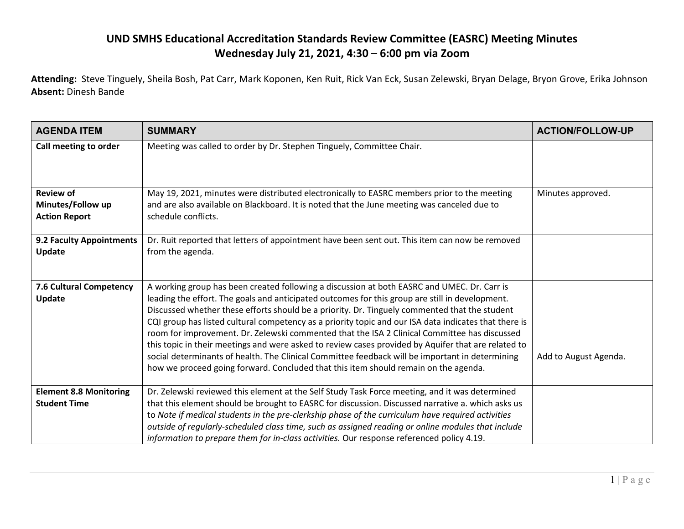## **UND SMHS Educational Accreditation Standards Review Committee (EASRC) Meeting Minutes Wednesday July 21, 2021, 4:30 – 6:00 pm via Zoom**

**Attending:** Steve Tinguely, Sheila Bosh, Pat Carr, Mark Koponen, Ken Ruit, Rick Van Eck, Susan Zelewski, Bryan Delage, Bryon Grove, Erika Johnson **Absent:** Dinesh Bande

| <b>AGENDA ITEM</b>                                            | <b>SUMMARY</b>                                                                                                                                                                                                                                                                                                                                                                                                                                                                                                                                                                                                                                                                                                                                                                                            | <b>ACTION/FOLLOW-UP</b> |
|---------------------------------------------------------------|-----------------------------------------------------------------------------------------------------------------------------------------------------------------------------------------------------------------------------------------------------------------------------------------------------------------------------------------------------------------------------------------------------------------------------------------------------------------------------------------------------------------------------------------------------------------------------------------------------------------------------------------------------------------------------------------------------------------------------------------------------------------------------------------------------------|-------------------------|
| Call meeting to order                                         | Meeting was called to order by Dr. Stephen Tinguely, Committee Chair.                                                                                                                                                                                                                                                                                                                                                                                                                                                                                                                                                                                                                                                                                                                                     |                         |
| <b>Review of</b><br>Minutes/Follow up<br><b>Action Report</b> | May 19, 2021, minutes were distributed electronically to EASRC members prior to the meeting<br>and are also available on Blackboard. It is noted that the June meeting was canceled due to<br>schedule conflicts.                                                                                                                                                                                                                                                                                                                                                                                                                                                                                                                                                                                         | Minutes approved.       |
| 9.2 Faculty Appointments<br>Update                            | Dr. Ruit reported that letters of appointment have been sent out. This item can now be removed<br>from the agenda.                                                                                                                                                                                                                                                                                                                                                                                                                                                                                                                                                                                                                                                                                        |                         |
| 7.6 Cultural Competency<br>Update                             | A working group has been created following a discussion at both EASRC and UMEC. Dr. Carr is<br>leading the effort. The goals and anticipated outcomes for this group are still in development.<br>Discussed whether these efforts should be a priority. Dr. Tinguely commented that the student<br>CQI group has listed cultural competency as a priority topic and our ISA data indicates that there is<br>room for improvement. Dr. Zelewski commented that the ISA 2 Clinical Committee has discussed<br>this topic in their meetings and were asked to review cases provided by Aquifer that are related to<br>social determinants of health. The Clinical Committee feedback will be important in determining<br>how we proceed going forward. Concluded that this item should remain on the agenda. | Add to August Agenda.   |
| <b>Element 8.8 Monitoring</b><br><b>Student Time</b>          | Dr. Zelewski reviewed this element at the Self Study Task Force meeting, and it was determined<br>that this element should be brought to EASRC for discussion. Discussed narrative a. which asks us<br>to Note if medical students in the pre-clerkship phase of the curriculum have required activities<br>outside of regularly-scheduled class time, such as assigned reading or online modules that include<br>information to prepare them for in-class activities. Our response referenced policy 4.19.                                                                                                                                                                                                                                                                                               |                         |